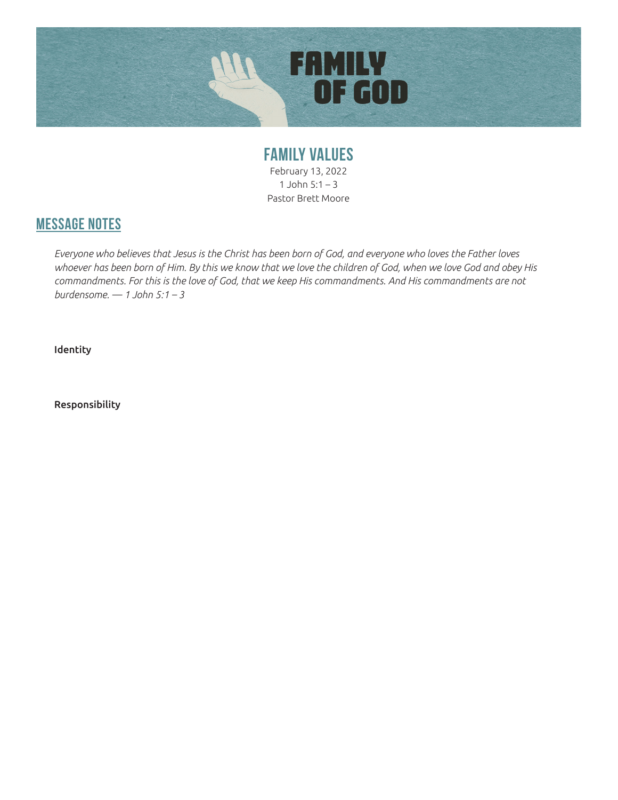

**FAMILY VALUES** February 13, 2022 1 John  $5:1 - 3$ Pastor Brett Moore

## **MESSAGE NOTES**

*Everyone who believes that Jesus is the Christ has been born of God, and everyone who loves the Father loves whoever has been born of Him. By this we know that we love the children of God, when we love God and obey His commandments. For this is the love of God, that we keep His commandments. And His commandments are not burdensome. — 1 John 5:1 – 3*

Identity

Responsibility